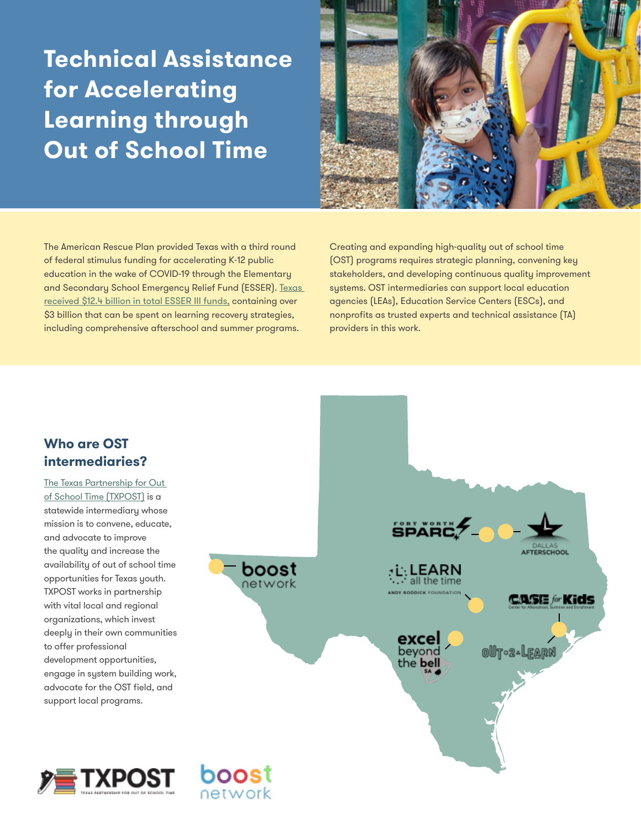## **Technical Assistance for Accelerating Learning through Out of School Time**

The American Rescue Plan provided Texas with a third round of federal stimulus funding for accelerating K-12 public education in the wake of COVID-19 through the Elementary and Secondary School Emergency Relief Fund (ESSER). [Texas](https://www.txpost.org/leveraging-esser-funds/)  [received \\$12.4 billion in total ESSER III funds,](https://www.txpost.org/leveraging-esser-funds/) containing over \$3 billion that can be spent on learning recovery strategies, including comprehensive afterschool and summer programs.



Creating and expanding high-quality out of school time (OST) programs requires strategic planning, convening key stakeholders, and developing continuous quality improvement systems. OST intermediaries can support local education agencies (LEAs), Education Service Centers (ESCs), and nonprofits as trusted experts and technical assistance (TA) providers in this work.

## **Who are OST intermediaries?**

[The Texas Partnership for Out](https://www.txpost.org)  [of School Time \(TXPOST\)](https://www.txpost.org) is a statewide intermediary whose mission is to convene, educate, and advocate to improve the quality and increase the availability of out of school time opportunities for Texas youth. TXPOST works in partnership with vital local and regional organizations, which invest deeply in their own communities to offer professional development opportunities, engage in system building work, advocate for the OST field, and support local programs.